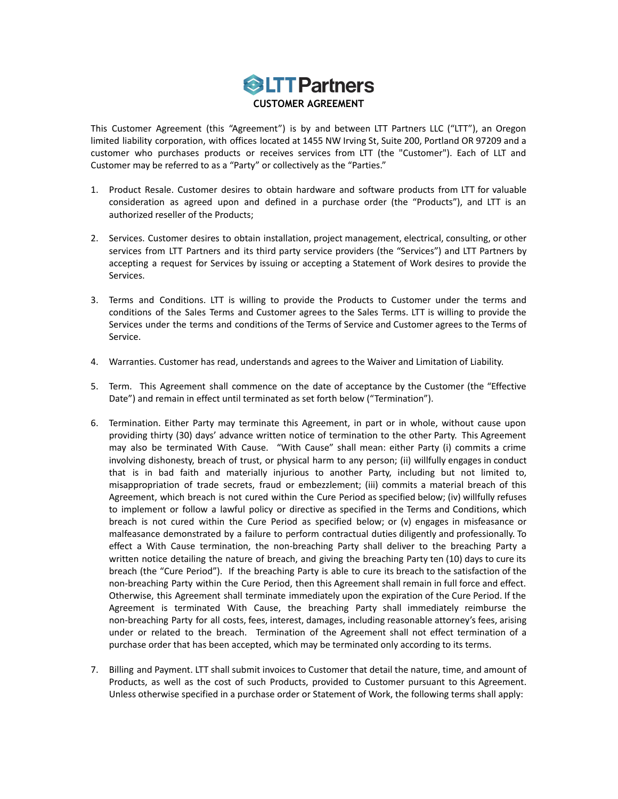

This Customer Agreement (this "Agreement") is by and between LTT Partners LLC ("LTT"), an Oregon limited liability corporation, with offices located at 1455 NW Irving St, Suite 200, Portland OR 97209 and a customer who purchases products or receives services from LTT (the "Customer"). Each of LLT and Customer may be referred to as a "Party" or collectively as the "Parties."

- 1. Product Resale. Customer desires to obtain hardware and software products from LTT for valuable consideration as agreed upon and defined in a purchase order (the "Products"), and LTT is an authorized reseller of the Products;
- 2. Services. Customer desires to obtain installation, project management, electrical, consulting, or other services from LTT Partners and its third party service providers (the "Services") and LTT Partners by accepting a request for Services by issuing or accepting a Statement of Work desires to provide the Services.
- 3. Terms and Conditions. LTT is willing to provide the Products to Customer under the terms and conditions of the Sales Terms and Customer agrees to the Sales Terms. LTT is willing to provide the Services under the terms and conditions of the Terms of Service and Customer agrees to the Terms of Service.
- 4. Warranties. Customer has read, understands and agrees to the Waiver and Limitation of Liability.
- 5. Term. This Agreement shall commence on the date of acceptance by the Customer (the "Effective Date") and remain in effect until terminated as set forth below ("Termination").
- 6. Termination. Either Party may terminate this Agreement, in part or in whole, without cause upon providing thirty (30) days' advance written notice of termination to the other Party. This Agreement may also be terminated With Cause. "With Cause" shall mean: either Party (i) commits a crime involving dishonesty, breach of trust, or physical harm to any person; (ii) willfully engages in conduct that is in bad faith and materially injurious to another Party, including but not limited to, misappropriation of trade secrets, fraud or embezzlement; (iii) commits a material breach of this Agreement, which breach is not cured within the Cure Period as specified below; (iv) willfully refuses to implement or follow a lawful policy or directive as specified in the Terms and Conditions, which breach is not cured within the Cure Period as specified below; or (v) engages in misfeasance or malfeasance demonstrated by a failure to perform contractual duties diligently and professionally. To effect a With Cause termination, the non-breaching Party shall deliver to the breaching Party a written notice detailing the nature of breach, and giving the breaching Party ten (10) days to cure its breach (the "Cure Period"). If the breaching Party is able to cure its breach to the satisfaction of the non-breaching Party within the Cure Period, then this Agreement shall remain in full force and effect. Otherwise, this Agreement shall terminate immediately upon the expiration of the Cure Period. If the Agreement is terminated With Cause, the breaching Party shall immediately reimburse the non-breaching Party for all costs, fees, interest, damages, including reasonable attorney's fees, arising under or related to the breach. Termination of the Agreement shall not effect termination of a purchase order that has been accepted, which may be terminated only according to its terms.
- 7. Billing and Payment. LTT shall submit invoices to Customer that detail the nature, time, and amount of Products, as well as the cost of such Products, provided to Customer pursuant to this Agreement. Unless otherwise specified in a purchase order or Statement of Work, the following terms shall apply: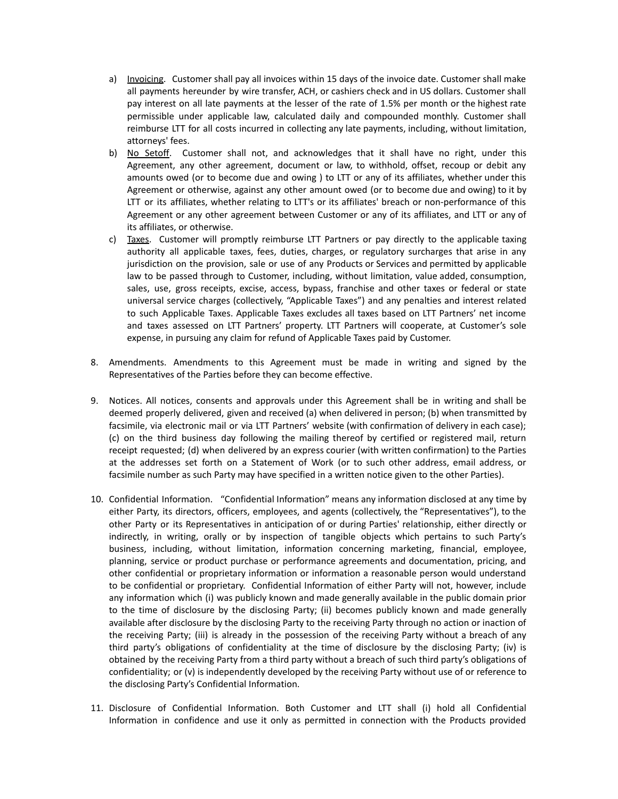- a) Invoicing. Customer shall pay all invoices within 15 days of the invoice date. Customer shall make all payments hereunder by wire transfer, ACH, or cashiers check and in US dollars. Customer shall pay interest on all late payments at the lesser of the rate of 1.5% per month or the highest rate permissible under applicable law, calculated daily and compounded monthly. Customer shall reimburse LTT for all costs incurred in collecting any late payments, including, without limitation, attorneys' fees.
- b) No Setoff. Customer shall not, and acknowledges that it shall have no right, under this Agreement, any other agreement, document or law, to withhold, offset, recoup or debit any amounts owed (or to become due and owing ) to LTT or any of its affiliates, whether under this Agreement or otherwise, against any other amount owed (or to become due and owing) to it by LTT or its affiliates, whether relating to LTT's or its affiliates' breach or non-performance of this Agreement or any other agreement between Customer or any of its affiliates, and LTT or any of its affiliates, or otherwise.
- c) Taxes. Customer will promptly reimburse LTT Partners or pay directly to the applicable taxing authority all applicable taxes, fees, duties, charges, or regulatory surcharges that arise in any jurisdiction on the provision, sale or use of any Products or Services and permitted by applicable law to be passed through to Customer, including, without limitation, value added, consumption, sales, use, gross receipts, excise, access, bypass, franchise and other taxes or federal or state universal service charges (collectively, "Applicable Taxes") and any penalties and interest related to such Applicable Taxes. Applicable Taxes excludes all taxes based on LTT Partners' net income and taxes assessed on LTT Partners' property. LTT Partners will cooperate, at Customer's sole expense, in pursuing any claim for refund of Applicable Taxes paid by Customer.
- 8. Amendments. Amendments to this Agreement must be made in writing and signed by the Representatives of the Parties before they can become effective.
- 9. Notices. All notices, consents and approvals under this Agreement shall be in writing and shall be deemed properly delivered, given and received (a) when delivered in person; (b) when transmitted by facsimile, via electronic mail or via LTT Partners' website (with confirmation of delivery in each case); (c) on the third business day following the mailing thereof by certified or registered mail, return receipt requested; (d) when delivered by an express courier (with written confirmation) to the Parties at the addresses set forth on a Statement of Work (or to such other address, email address, or facsimile number as such Party may have specified in a written notice given to the other Parties).
- 10. Confidential Information. "Confidential Information" means any information disclosed at any time by either Party, its directors, officers, employees, and agents (collectively, the "Representatives"), to the other Party or its Representatives in anticipation of or during Parties' relationship, either directly or indirectly, in writing, orally or by inspection of tangible objects which pertains to such Party's business, including, without limitation, information concerning marketing, financial, employee, planning, service or product purchase or performance agreements and documentation, pricing, and other confidential or proprietary information or information a reasonable person would understand to be confidential or proprietary. Confidential Information of either Party will not, however, include any information which (i) was publicly known and made generally available in the public domain prior to the time of disclosure by the disclosing Party; (ii) becomes publicly known and made generally available after disclosure by the disclosing Party to the receiving Party through no action or inaction of the receiving Party; (iii) is already in the possession of the receiving Party without a breach of any third party's obligations of confidentiality at the time of disclosure by the disclosing Party; (iv) is obtained by the receiving Party from a third party without a breach of such third party's obligations of confidentiality; or (v) is independently developed by the receiving Party without use of or reference to the disclosing Party's Confidential Information.
- 11. Disclosure of Confidential Information. Both Customer and LTT shall (i) hold all Confidential Information in confidence and use it only as permitted in connection with the Products provided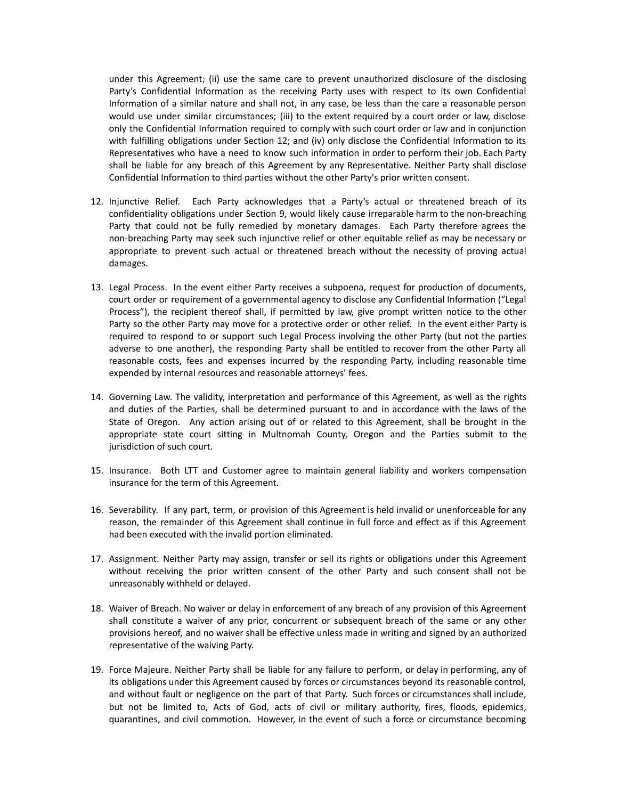under this Agreement; (ii) use the same care to prevent unauthorized disclosure of the disclosing Party's Confidential Information as the receiving Party uses with respect to its own Confidential Information of a similar nature and shall not, in any case, be less than the care a reasonable person would use under similar circumstances; (iii) to the extent required by a court order or law, disclose only the Confidential Information required to comply with such court order or law and in conjunction with fulfilling obligations under Section 12; and (iv) only disclose the Confidential Information to its Representatives who have a need to know such information in order to perform their job. Each Party shall be liable for any breach of this Agreement by any Representative. Neither Party shall disclose Confidential Information to third parties without the other Party's prior written consent.

- 12. Injunctive Relief. Each Party acknowledges that a Party's actual or threatened breach of its confidentiality obligations under Section 9, would likely cause irreparable harm to the non-breaching Party that could not be fully remedied by monetary damages. Each Party therefore agrees the non-breaching Party may seek such injunctive relief or other equitable relief as may be necessary or appropriate to prevent such actual or threatened breach without the necessity of proving actual damages.
- 13. Legal Process. In the event either Party receives a subpoena, request for production of documents, court order or requirement of a governmental agency to disclose any Confidential Information ("Legal Process"), the recipient thereof shall, if permitted by law, give prompt written notice to the other Party so the other Party may move for a protective order or other relief. In the event either Party is required to respond to or support such Legal Process involving the other Party (but not the parties adverse to one another), the responding Party shall be entitled to recover from the other Party all reasonable costs, fees and expenses incurred by the responding Party, including reasonable time expended by internal resources and reasonable attorneys' fees.
- 14. Governing Law. The validity, interpretation and performance of this Agreement, as well as the rights and duties of the Parties, shall be determined pursuant to and in accordance with the laws of the State of Oregon. Any action arising out of or related to this Agreement, shall be brought in the appropriate state court sitting in Multnomah County, Oregon and the Parties submit to the jurisdiction of such court.
- 15. Insurance. Both LTT and Customer agree to maintain general liability and workers compensation insurance for the term of this Agreement.
- 16. Severability. If any part, term, or provision of this Agreement is held invalid or unenforceable for any reason, the remainder of this Agreement shall continue in full force and effect as if this Agreement had been executed with the invalid portion eliminated.
- 17. Assignment. Neither Party may assign, transfer or sell its rights or obligations under this Agreement without receiving the prior written consent of the other Party and such consent shall not be unreasonably withheld or delayed.
- 18. Waiver of Breach. No waiver or delay in enforcement of any breach of any provision of this Agreement shall constitute a waiver of any prior, concurrent or subsequent breach of the same or any other provisions hereof, and no waiver shall be effective unless made in writing and signed by an authorized representative of the waiving Party.
- 19. Force Majeure. Neither Party shall be liable for any failure to perform, or delay in performing, any of its obligations under this Agreement caused by forces or circumstances beyond its reasonable control, and without fault or negligence on the part of that Party. Such forces or circumstances shall include, but not be limited to, Acts of God, acts of civil or military authority, fires, floods, epidemics, quarantines, and civil commotion. However, in the event of such a force or circumstance becoming